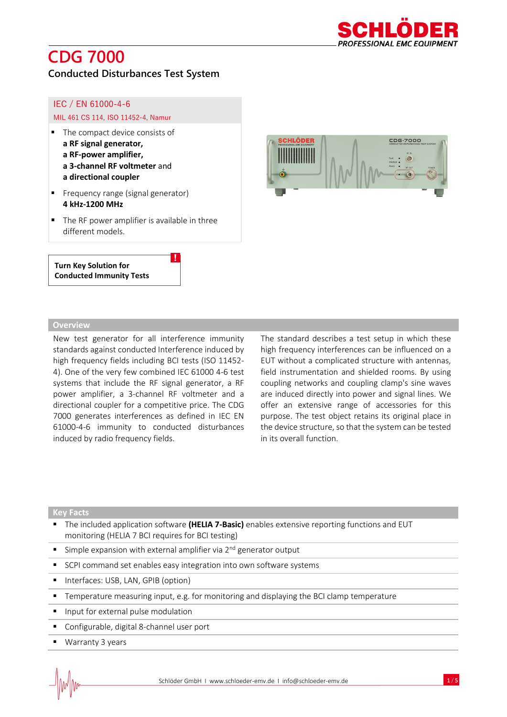

## **CDG 7000**

### **Conducted Disturbances Test System**

### IEC / EN 61000-4-6

### MIL 461 CS 114, ISO 11452-4, Namur

- The compact device consists of **a RF signal generator, a RF-power amplifier, a 3-channel RF voltmeter** and **a directional coupler**
- Frequency range (signal generator) **4 kHz-1200 MHz**
- The RF power amplifier is available in three different models.

!

### **Turn Key Solution for Conducted Immunity Tests**



### **Overview**

New test generator for all interference immunity standards against conducted Interference induced by high frequency fields including BCI tests (ISO 11452- 4). One of the very few combined IEC 61000 4-6 test systems that include the RF signal generator, a RF power amplifier, a 3-channel RF voltmeter and a directional coupler for a competitive price. The CDG 7000 generates interferences as defined in IEC EN 61000-4-6 immunity to conducted disturbances induced by radio frequency fields.

The standard describes a test setup in which these high frequency interferences can be influenced on a EUT without a complicated structure with antennas, field instrumentation and shielded rooms. By using coupling networks and coupling clamp's sine waves are induced directly into power and signal lines. We offer an extensive range of accessories for this purpose. The test object retains its original place in the device structure, so that the system can be tested in its overall function.

#### **Key Facts**

- The included application software **(HELIA 7-Basic)** enables extensive reporting functions and EUT monitoring (HELIA 7 BCI requires for BCI testing)
- **EXT** Simple expansion with external amplifier via 2<sup>nd</sup> generator output
- SCPI command set enables easy integration into own software systems
- Interfaces: USB, LAN, GPIB (option)
- Temperature measuring input, e.g. for monitoring and displaying the BCI clamp temperature
- **·** Input for external pulse modulation
- Configurable, digital 8-channel user port
- Warranty 3 years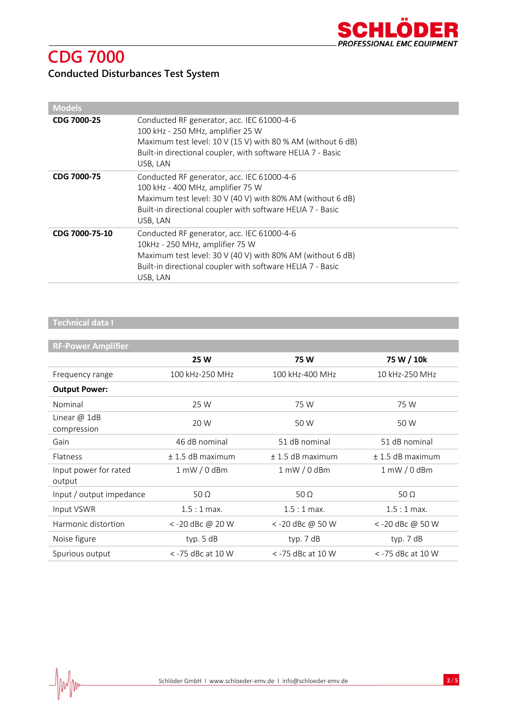

# **CDG 7000**

### **Conducted Disturbances Test System**

| <b>Models</b>      |                                                                                                                                                                                                                           |
|--------------------|---------------------------------------------------------------------------------------------------------------------------------------------------------------------------------------------------------------------------|
| <b>CDG 7000-25</b> | Conducted RF generator, acc. IEC 61000-4-6<br>100 kHz - 250 MHz, amplifier 25 W<br>Maximum test level: 10 V (15 V) with 80 % AM (without 6 dB)<br>Built-in directional coupler, with software HELIA 7 - Basic<br>USB, LAN |
| <b>CDG 7000-75</b> | Conducted RF generator, acc. IEC 61000-4-6<br>100 kHz - 400 MHz, amplifier 75 W<br>Maximum test level: 30 V (40 V) with 80% AM (without 6 dB)<br>Built-in directional coupler with software HELIA 7 - Basic<br>USB, LAN   |
| CDG 7000-75-10     | Conducted RF generator, acc. IEC 61000-4-6<br>10kHz - 250 MHz, amplifier 75 W<br>Maximum test level: 30 V (40 V) with 80% AM (without 6 dB)<br>Built-in directional coupler with software HELIA 7 - Basic<br>USB, LAN     |

### **Technical data I**

### **RF-Power Amplifier**

|                                 | 25 W                | 75W                            | 75 W / 10k           |
|---------------------------------|---------------------|--------------------------------|----------------------|
| Frequency range                 | 100 kHz-250 MHz     | 100 kHz-400 MHz                | 10 kHz-250 MHz       |
| <b>Output Power:</b>            |                     |                                |                      |
| Nominal                         | 25 W                | 75 W                           | 75 W                 |
| Linear $@$ 1dB<br>compression   | 20 W                | 50 W                           | 50 W                 |
| Gain                            | 46 dB nominal       | 51 dB nominal                  | 51 dB nominal        |
| Flatness                        | $±$ 1.5 dB maximum  | $+1.5$ dB maximum              | $\pm$ 1.5 dB maximum |
| Input power for rated<br>output | $1$ mW $/0$ dBm     | $1 \text{ mW} / 0 \text{ dBm}$ | $1$ mW $/ 0$ dBm     |
| Input / output impedance        | 50 $\Omega$         | 50 $\Omega$                    | 50 $\Omega$          |
| Input VSWR                      | $1.5:1$ max.        | $1.5:1$ max.                   | $1.5:1$ max.         |
| Harmonic distortion             | < -20 dBc @ 20 W    | <-20 dBc @ 50 W                | <-20 dBc @ 50 W      |
| Noise figure                    | typ. $5 dB$         | typ. 7 dB                      | typ. 7 dB            |
| Spurious output                 | $<$ -75 dBc at 10 W | $<$ -75 dBc at 10 W            | < -75 dBc at 10 W    |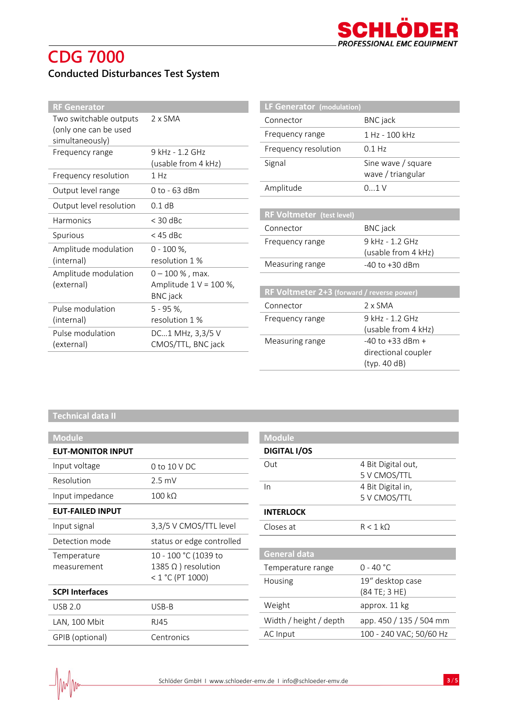## **CDG 7000 Conducted Disturbances Test System**

| <b>RF Generator</b>                      |                                              | LF Generator (modulation)                  |                        |  |
|------------------------------------------|----------------------------------------------|--------------------------------------------|------------------------|--|
| Two switchable outputs                   | $2 \times$ SMA                               | Connector                                  | <b>BNC</b> jack        |  |
| (only one can be used<br>simultaneously) |                                              | Frequency range                            | 1 Hz - 100 kHz         |  |
| Frequency range                          | 9 kHz - 1.2 GHz                              | Frequency resolution                       | $0.1$ Hz               |  |
|                                          | (usable from 4 kHz)                          | Signal                                     | Sine wave / square     |  |
| Frequency resolution                     | 1 Hz                                         |                                            | wave / triangular      |  |
| Output level range                       | 0 to - 63 dBm                                | Amplitude                                  | 01V                    |  |
| Output level resolution                  | 0.1 dB                                       |                                            |                        |  |
| Harmonics                                | $<$ 30 dBc                                   | <b>RF Voltmeter (test level)</b>           |                        |  |
| Spurious                                 | $<$ 45 dBc                                   | Connector                                  | <b>BNC</b> jack        |  |
|                                          |                                              | Frequency range                            | 9 kHz - 1.2 GHz        |  |
| Amplitude modulation                     | $0 - 100 \%$                                 |                                            | (usable from 4 kHz)    |  |
| (internal)                               | resolution 1 %                               | Measuring range                            | $-40$ to $+30$ dBm     |  |
| Amplitude modulation                     | $0 - 100 %$ , max.                           |                                            |                        |  |
| (external)                               | Amplitude $1 V = 100 %$ ,<br><b>BNC</b> jack | RF Voltmeter 2+3 (forward / reverse power) |                        |  |
| Pulse modulation                         | $5 - 95 %$ ,                                 | Connector                                  | 2 x SMA                |  |
| (internal)                               | resolution 1 %                               | Frequency range                            | 9 kHz - 1.2 GHz        |  |
| Pulse modulation                         | DC1 MHz, 3,3/5 V                             |                                            | (usable from 4 kHz)    |  |
| (external)                               | CMOS/TTL, BNC jack                           | Measuring range                            | $-40$ to $+33$ dBm $+$ |  |
|                                          |                                              |                                            | directional coupler    |  |

### **Technical data II**

| <b>Module</b>            |                            |
|--------------------------|----------------------------|
| <b>EUT-MONITOR INPUT</b> |                            |
| Input voltage            | 0 to 10 V DC               |
| Resolution               | $2.5 \text{ mV}$           |
| Input impedance          | 100 kO                     |
| <b>EUT-FAILED INPUT</b>  |                            |
| Input signal             | 3,3/5 V CMOS/TTL level     |
| Detection mode           | status or edge controlled  |
| Temperature              | 10 - 100 °C (1039 to       |
| measurement              | 1385 $\Omega$ ) resolution |
|                          | $< 1 °C$ (PT 1000)         |
| <b>SCPI Interfaces</b>   |                            |
| <b>USB 2.0</b>           | USB-B                      |
| LAN, 100 Mbit            | <b>RJ45</b>                |
| GPIB (optional)          | Centronics                 |

| <b>Module</b>          |                         |
|------------------------|-------------------------|
| <b>DIGITAL I/OS</b>    |                         |
| Out                    | 4 Bit Digital out,      |
|                        | 5 V CMOS/TTL            |
| In                     | 4 Bit Digital in,       |
|                        | 5 V CMOS/TTL            |
| <b>INTERLOCK</b>       |                         |
| Closes at              | $R < 1$ kO              |
|                        |                         |
| <b>General data</b>    |                         |
| Temperature range      | $0 - 40 °C$             |
| Housing                | 19" desktop case        |
|                        | (84 TE; 3 HE)           |
| Weight                 | approx. 11 kg           |
| Width / height / depth | app. 450 / 135 / 504 mm |
| AC Input               | 100 - 240 VAC; 50/60 Hz |
|                        |                         |

(typ. 40 dB)

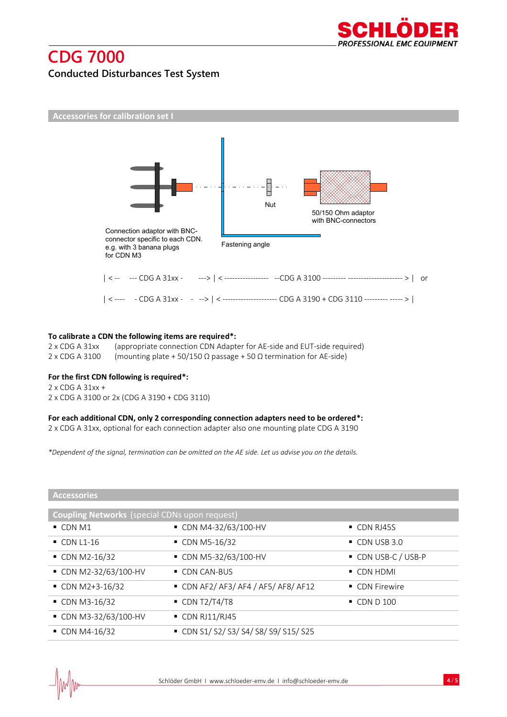

### **CDG 7000 Conducted Disturbances Test System**



#### **To calibrate a CDN the following items are required\*:**

2 x CDG A 31xx (appropriate connection CDN Adapter for AE-side and EUT-side required) 2 x CDG A 3100 (mounting plate + 50/150 Ω passage + 50 Ω termination for AE-side)

#### **For the first CDN following is required\*:**

2 x CDG A 31xx + 2 x CDG A 3100 or 2x (CDG A 3190 + CDG 3110)

#### **For each additional CDN, only 2 corresponding connection adapters need to be ordered\*:**

2 x CDG A 31xx, optional for each connection adapter also one mounting plate CDG A 3190

*\*Dependent of the signal, termination can be omitted on the AE side. Let us advise you on the details.*

|  | <b>Accessories</b> |  |  |
|--|--------------------|--|--|
|  |                    |  |  |
|  |                    |  |  |

| <b>Coupling Networks</b> (special CDNs upon request) |                                        |                         |  |  |
|------------------------------------------------------|----------------------------------------|-------------------------|--|--|
| $\blacksquare$ CDN M1                                | ■ CDN M4-32/63/100-HV                  | • CDN RJ45S             |  |  |
| $\bullet$ CDN L1-16                                  | • CDN M5-16/32                         | $\bullet$ CDN USB 3.0   |  |  |
| $\bullet$ CDN M2-16/32                               | ■ CDN M5-32/63/100-HV                  | ■ CDN USB-C / USB-P     |  |  |
| ■ CDN M2-32/63/100-HV                                | $\blacksquare$ CDN CAN-BUS             | $\blacksquare$ CDN HDMI |  |  |
| $\bullet$ CDN M2+3-16/32                             | $\bullet$ CDN AF2/AF3/AF4/AF5/AF8/AF12 | • CDN Firewire          |  |  |
| $\bullet$ CDN M3-16/32                               | $\blacksquare$ CDN T2/T4/T8            | $\bullet$ CDN D 100     |  |  |
| ■ CDN M3-32/63/100-HV                                | $\blacksquare$ CDN RJ11/RJ45           |                         |  |  |
| $\bullet$ CDN M4-16/32                               | CDN S1/S2/S3/S4/S8/S9/S15/S25          |                         |  |  |